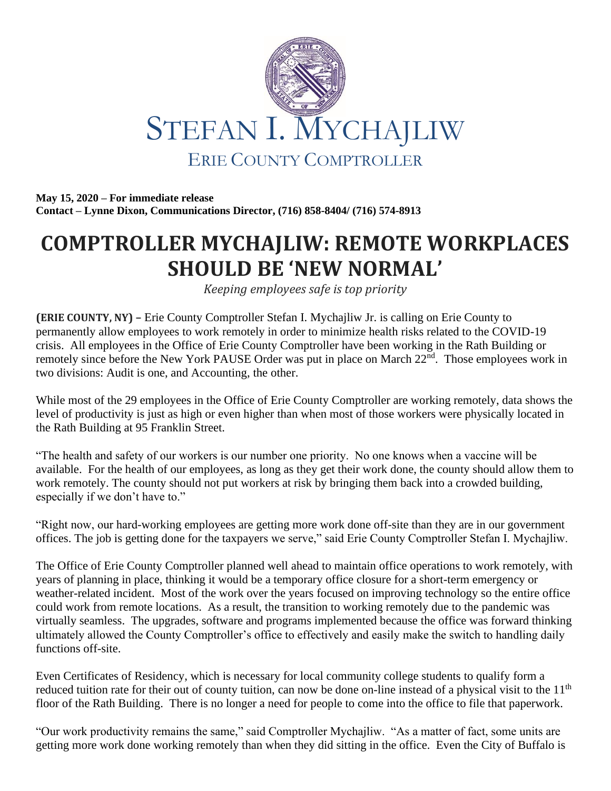

**May 15, 2020 – For immediate release Contact – Lynne Dixon, Communications Director, (716) 858-8404/ (716) 574-8913**

## **COMPTROLLER MYCHAJLIW: REMOTE WORKPLACES SHOULD BE 'NEW NORMAL'**

*Keeping employees safe is top priority*

**(ERIE COUNTY, NY) –** Erie County Comptroller Stefan I. Mychajliw Jr. is calling on Erie County to permanently allow employees to work remotely in order to minimize health risks related to the COVID-19 crisis. All employees in the Office of Erie County Comptroller have been working in the Rath Building or remotely since before the New York PAUSE Order was put in place on March 22<sup>nd</sup>. Those employees work in two divisions: Audit is one, and Accounting, the other.

While most of the 29 employees in the Office of Erie County Comptroller are working remotely, data shows the level of productivity is just as high or even higher than when most of those workers were physically located in the Rath Building at 95 Franklin Street.

"The health and safety of our workers is our number one priority. No one knows when a vaccine will be available. For the health of our employees, as long as they get their work done, the county should allow them to work remotely. The county should not put workers at risk by bringing them back into a crowded building, especially if we don't have to."

"Right now, our hard-working employees are getting more work done off-site than they are in our government offices. The job is getting done for the taxpayers we serve," said Erie County Comptroller Stefan I. Mychajliw.

The Office of Erie County Comptroller planned well ahead to maintain office operations to work remotely, with years of planning in place, thinking it would be a temporary office closure for a short-term emergency or weather-related incident. Most of the work over the years focused on improving technology so the entire office could work from remote locations. As a result, the transition to working remotely due to the pandemic was virtually seamless. The upgrades, software and programs implemented because the office was forward thinking ultimately allowed the County Comptroller's office to effectively and easily make the switch to handling daily functions off-site.

Even Certificates of Residency, which is necessary for local community college students to qualify form a reduced tuition rate for their out of county tuition, can now be done on-line instead of a physical visit to the 11<sup>th</sup> floor of the Rath Building. There is no longer a need for people to come into the office to file that paperwork.

"Our work productivity remains the same," said Comptroller Mychajliw. "As a matter of fact, some units are getting more work done working remotely than when they did sitting in the office. Even the City of Buffalo is